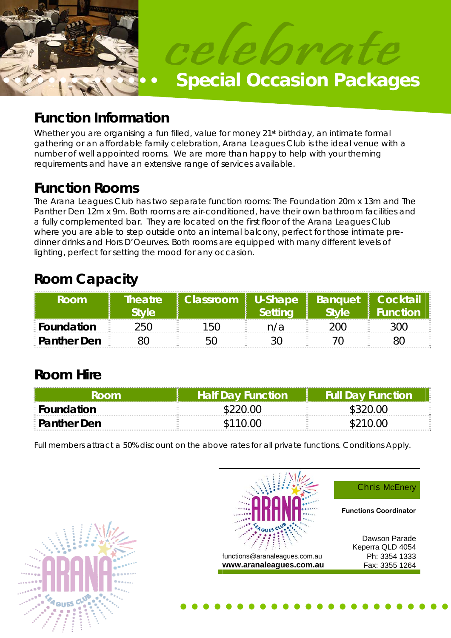

# **Function Information**

Whether you are organising a fun filled, value for money 21<sup>st</sup> birthday, an intimate formal gathering or an affordable family celebration, Arana Leagues Club is the ideal venue with a number of well appointed rooms. We are more than happy to help with your theming requirements and have an extensive range of services available.

**Function Rooms**<br>The Arana Leagues Club has two separate function rooms: The Foundation 20m x 13m and The Panther Den 12m x 9m. Both rooms are air-conditioned, have their own bathroom facilities and a fully complemented bar. They are located on the first floor of the Arana Leagues Club where you are able to step outside onto an internal balcony, perfect for those intimate predinner drinks and Hors D'Oeurves. Both rooms are equipped with many different levels of lighting, perfect for setting the mood for any occasion.

# **Room Capacity**

| Room               | Theatre<br>stvle | Classroom   U-Shape   Banquet   Cocktail | Setting | <b>Style</b> | <b>Function</b> |
|--------------------|------------------|------------------------------------------|---------|--------------|-----------------|
| <b>EFoundation</b> | 250.             | 150                                      | n/a     | ንበር.         |                 |
| <b>Panther Den</b> |                  |                                          |         |              |                 |

# **Room Hire**

| Room                 | <b>Half Day Function</b> | <b>Full Day Function</b> |
|----------------------|--------------------------|--------------------------|
| E Foundation         | \$220.00                 |                          |
| <b>E</b> Panther Den | \$110.00                 | \$210.00                 |

Full members attract a 50% discount on the above rates for all private functions. Conditions Apply.





**Chris McEnery** 

**Functions Coordinator** 

Dawson Parade Keperra QLD 4054 Ph: 3354 1333 Fax: 3355 1264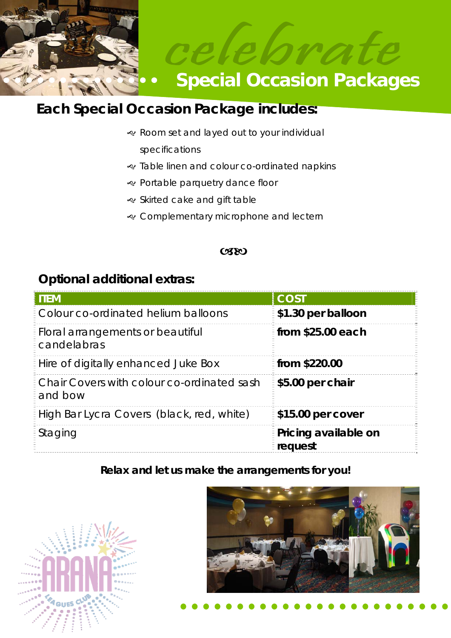



# **Each Special Occasion Package includes:**

- & Room set and layed out to your individual specifications
- J Table linen and colour co-ordinated napkins
- & Portable parquetry dance floor
- · Skirted cake and gift table
- & Complementary microphone and lectern

#### **CSEO**

### **Optional additional extras:**

| <b>ITEM</b>                                           | <b>COST</b>                     |
|-------------------------------------------------------|---------------------------------|
| Colour co-ordinated helium balloons                   | \$1.30 per balloon              |
| Floral arrangements or beautiful<br>candelabras       | from \$25.00 each               |
| Hire of digitally enhanced Juke Box                   | from \$220.00                   |
| Chair Covers with colour co-ordinated sash<br>and bow | \$5.00 per chair                |
| High Bar Lycra Covers (black, red, white)             | \$15.00 per cover               |
| Staging                                               | Pricing available on<br>request |

### **Relax and let us make the arrangements for you!**



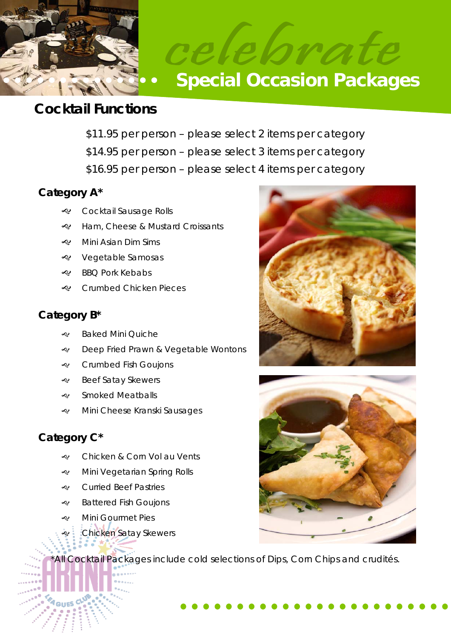

## **Cocktail Functions**

- \$11.95 per person please select 2 items per category
- \$14.95 per person please select 3 items per category
- \$16.95 per person please select 4 items per category

### **Category A\***

- & Cocktail Sausage Rolls
- e Ham, Cheese & Mustard Croissants
- $\ll$  Mini Asian Dim Sims
- & Vegetable Samosas
- $\ll$  BBO Pork Kebabs
- & Crumbed Chicken Pieces

### **Category B\***

- & Baked Mini Quiche
- **e** Deep Fried Prawn & Vegetable Wontons
- & Crumbed Fish Goujons
- & Beef Satay Skewers
- · Smoked Meatballs
- Mini Cheese Kranski Sausages

### **Category C\***

- & Chicken & Corn Vol au Vents
- Mini Vegetarian Spring Rolls
- & Curried Beef Pastries
- $\triangleleft$  Battered Fish Goujons
- e Mini Gourmet Pies
- **Chicken Satay Skewers**

\*All Cocktail Packages include cold selections of Dips, Corn Chips and crudités.



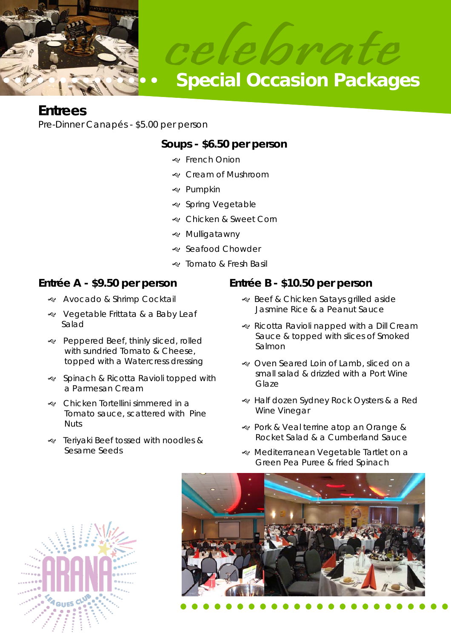

### **Entrees**

Pre-Dinner Canapés - \$5.00 per person

### **Soups - \$6.50 per person**

- & French Onion
- & Cream of Mushroom
- & Pumpkin
- & Spring Vegetable
- & Chicken & Sweet Corn
- & Mulligatawny
- · Seafood Chowder
- & Tomato & Fresh Basil

### **Entrée A - \$9.50 per person**

- & Avocado & Shrimp Cocktail
- **EXALG** Vegetable Frittata & a Baby Leaf Salad
- Peppered Beef, thinly sliced, rolled with sundried Tomato & Cheese, topped with a Watercress dressing
- J Spinach & Ricotta Ravioli topped with a Parmesan Cream
- Chicken Tortellini simmered in a Tomato sauce, scattered with Pine Nuts
- Periyaki Beef tossed with noodles & Sesame Seeds

### **Entrée B - \$10.50 per person**

- & Beef & Chicken Satays grilled aside Jasmine Rice & a Peanut Sauce
- & Ricotta Ravioli napped with a Dill Cream Sauce & topped with slices of Smoked Salmon
- & Oven Seared Loin of Lamb, sliced on a small salad & drizzled with a Port Wine Glaze
- e Half dozen Sydney Rock Oysters & a Red Wine Vinegar
- & Pork & Veal terrine atop an Orange & Rocket Salad & a Cumberland Sauce
- « Mediterranean Vegetable Tartlet on a Green Pea Puree & fried Spinach



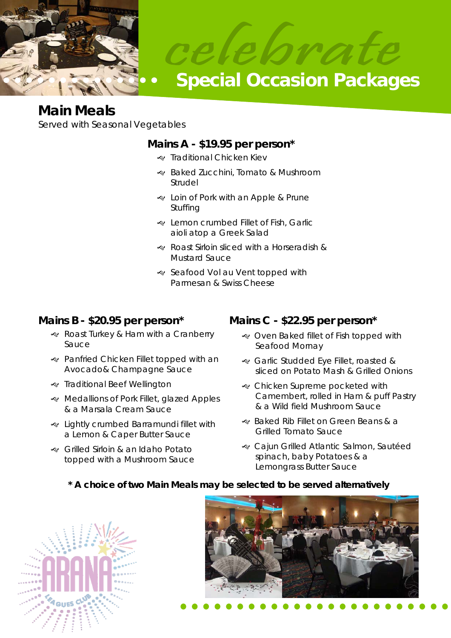

## **Main Meals**

Served with Seasonal Vegetables

### **Mains A - \$19.95 per person\***

- De Traditional Chicken Kiev
- Raked Zucchini, Tomato & Mushroom Strudel
- & Loin of Pork with an Apple & Prune Stuffing
- & Lemon crumbed Fillet of Fish, Garlic aioli atop a Greek Salad
- Roast Sirloin sliced with a Horseradish & Mustard Sauce
- Seafood Vol au Vent topped with Parmesan & Swiss Cheese

### **Mains B - \$20.95 per person\***

- Roast Turkey & Ham with a Cranberry Sauce
- Panfried Chicken Fillet topped with an Avocado& Champagne Sauce
- & Traditional Beef Wellington
- Redallions of Pork Fillet, glazed Apples & a Marsala Cream Sauce
- & Lightly crumbed Barramundi fillet with a Lemon & Caper Butter Sauce
- Grilled Sirloin & an Idaho Potato topped with a Mushroom Sauce

### **Mains C - \$22.95 per person\***

- & Oven Baked fillet of Fish topped with Seafood Mornay
- Garlic Studded Eye Fillet, roasted & sliced on Potato Mash & Grilled Onions
- & Chicken Supreme pocketed with Camembert, rolled in Ham & puff Pastry & a Wild field Mushroom Sauce
- Raked Rib Fillet on Green Beans & a Grilled Tomato Sauce
- & Cajun Grilled Atlantic Salmon, Sautéed spinach, baby Potatoes & a Lemongrass Butter Sauce

### **\* A choice of two Main Meals may be selected to be served alternatively**



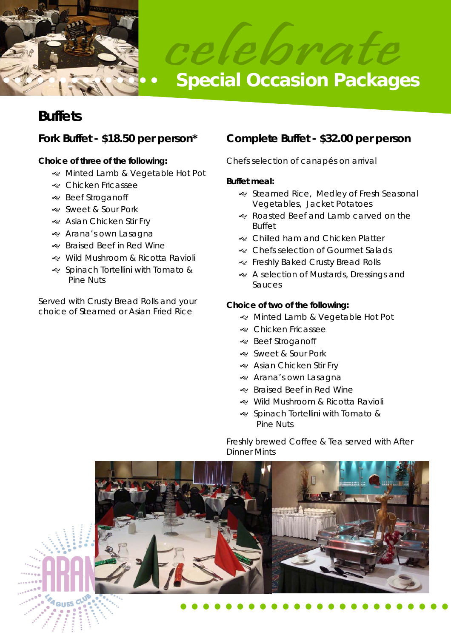

## **Buffets**

#### **Choice of three of the following:**

- Minted Lamb & Vegetable Hot Pot
- e Chicken Fricassee
- · Beef Stroganoff
- & Sweet & Sour Pork
- & Asian Chicken Stir Fry
- & Arana's own Lasagna
- & Braised Beef in Red Wine
- Wild Mushroom & Ricotta Ravioli
- J Spinach Tortellini with Tomato & Pine Nuts

Served with Crusty Bread Rolls and your choice of Steamed or Asian Fried Rice

### **Fork Buffet - \$18.50 per person\* Complete Buffet - \$32.00 per person**

Chefs selection of canapés on arrival

#### **Buffet meal:**

- · Steamed Rice, Medley of Fresh Seasonal Vegetables, Jacket Potatoes
- Roasted Beef and Lamb carved on the Buffet
- & Chilled ham and Chicken Platter
- & Chefs selection of Gourmet Salads
- & Freshly Baked Crusty Bread Rolls
- & A selection of Mustards, Dressings and Sauces

#### **Choice of two of the following:**

- & Minted Lamb & Vegetable Hot Pot
- & Chicken Fricassee
- **e** Beef Stroganoff
- & Sweet & Sour Pork
- & Asian Chicken Stir Fry
- & Arana's own Lasagna
- & Braised Beef in Red Wine
- w Wild Mushroom & Ricotta Ravioli
- J Spinach Tortellini with Tomato & Pine Nuts

Freshly brewed Coffee & Tea served with After Dinner Mints

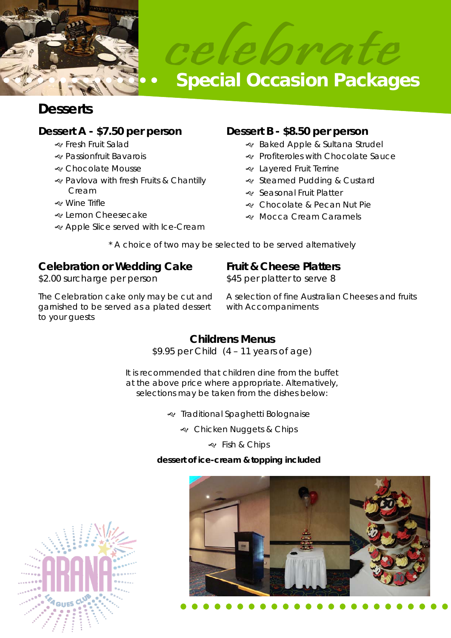



# **Desserts**

### **Dessert A - \$7.50 per person**

- & Fresh Fruit Salad
- J Passionfruit Bavarois
- & Chocolate Mousse
- J Pavlova with fresh Fruits & Chantilly Cream
- J Wine Trifle
- e Lemon Cheesecake
- & Apple Slice served with Ice-Cream

### **Dessert B - \$8.50 per person**

- & Baked Apple & Sultana Strudel
- & Profiteroles with Chocolate Sauce
- & Layered Fruit Terrine
- · Steamed Pudding & Custard
- · Seasonal Fruit Platter
- & Chocolate & Pecan Nut Pie
- & Mocca Cream Caramels

\* A choice of two may be selected to be served alternatively

#### **Celebration or Wedding Cake**  \$2.00 surcharge per person

### **Fruit & Cheese Platters**

\$45 per platter to serve 8

The Celebration cake only may be cut and garnished to be served as a plated dessert to your guests

A selection of fine Australian Cheeses and fruits with Accompaniments

### **Childrens Menus**

\$9.95 per Child (4 – 11 years of age)

It is recommended that children dine from the buffet at the above price where appropriate. Alternatively, selections may be taken from the dishes below:

Traditional Spaghetti Bolognaise

& Chicken Nuggets & Chips

& Fish & Chips

### **dessert of ice-cream & topping included**



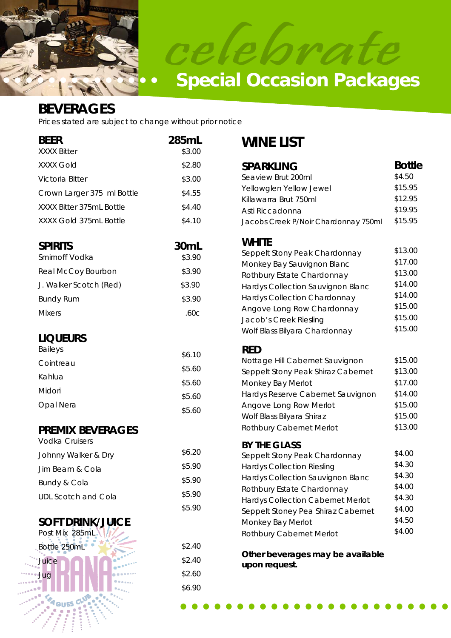



### **BEVERAGES**

Prices stated are subject to change without prior notice

| <b>BEER</b>                | 285mL  |
|----------------------------|--------|
| <b>XXXX Bitter</b>         | \$3.00 |
| XXXX Gold                  | \$2.80 |
| Victoria Bitter            | \$3.00 |
| Crown Larger 375 ml Bottle | \$4.55 |
| XXXX Bitter 375ml Bottle   | \$4.40 |
| XXXX Gold 375mL Bottle     | \$4.10 |
|                            |        |

| <b>SPIRITS</b>         | 30 <sub>mL</sub> |
|------------------------|------------------|
| Smirnoff Vodka         | \$3.90           |
| Real McCoy Bourbon     | \$3.90           |
| J. Walker Scotch (Red) | \$3.90           |
| <b>Bundy Rum</b>       | \$3.90           |
| <b>Mixers</b>          | .60c             |

### **LIQUEURS**

| \$6.10 |
|--------|
| \$5.60 |
| \$5.60 |
| \$5.60 |
| \$5.60 |
|        |

### **PREMIX BEVERAGES**

| Vodka Cruisers      |        |
|---------------------|--------|
| Johnny Walker & Dry | \$6.20 |
| Jim Beam & Cola     | \$5.90 |
| Bundy & Cola        | \$5.90 |
| UDL Scotch and Cola | \$5.90 |
|                     | \$5.90 |

\$2.40 \$2.40 \$2.60 \$6.90

### **SOFT DRINK/JUICE**



## **WINE LIST**

| <b>SPARKLING</b>                                  | <b>Bottle</b> |
|---------------------------------------------------|---------------|
| Seaview Brut 200ml                                | \$4.50        |
| Yellowglen Yellow Jewel                           | \$15.95       |
| Killawarra Brut 750ml                             | \$12.95       |
| Asti Riccadonna                                   | \$19.95       |
| Jacobs Creek P/Noir Chardonnay 750ml              | \$15.95       |
| <b>WHITE</b>                                      |               |
| Seppelt Stony Peak Chardonnay                     | \$13.00       |
| Monkey Bay Sauvignon Blanc                        | \$17.00       |
| Rothbury Estate Chardonnay                        | \$13.00       |
| Hardys Collection Sauvignon Blanc                 | \$14.00       |
| Hardys Collection Chardonnay                      | \$14.00       |
| Angove Long Row Chardonnay                        | \$15.00       |
| Jacob's Creek Riesling                            | \$15.00       |
| Wolf Blass Bilyara Chardonnay                     | \$15.00       |
| <b>RED</b>                                        |               |
| Nottage Hill Cabernet Sauvignon                   | \$15.00       |
| Seppelt Stony Peak Shiraz Cabernet                | \$13.00       |
| Monkey Bay Merlot                                 | \$17.00       |
| Hardys Reserve Cabernet Sauvignon                 | \$14.00       |
| Angove Long Row Merlot                            | \$15.00       |
| Wolf Blass Bilyara Shiraz                         | \$15.00       |
| Rothbury Cabernet Merlot                          | \$13.00       |
| <b>BY THE GLASS</b>                               | \$4.00        |
| Seppelt Stony Peak Chardonnay                     | \$4.30        |
| <b>Hardys Collection Riesling</b>                 | \$4.30        |
| Hardys Collection Sauvignon Blanc                 | \$4.00        |
| Rothbury Estate Chardonnay                        | \$4.30        |
| <b>Hardys Collection Cabernet Merlot</b>          | \$4.00        |
| Seppelt Stoney Pea Shiraz Cabernet                | \$4.50        |
| Monkey Bay Merlot                                 | \$4.00        |
| Rothbury Cabernet Merlot                          |               |
| Other beverages may be available<br>upon request. |               |